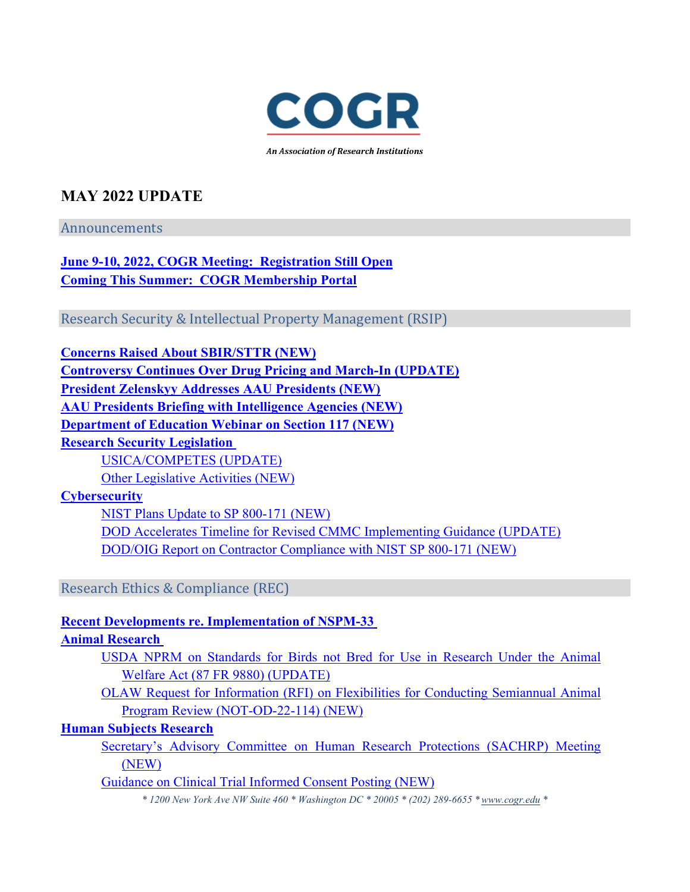

An Association of Research Institutions

## **MAY 2022 UPDATE**

Announcements

**[June 9-10, 2022, COGR Meeting: Registration Still Open](#page-2-0) [Coming This Summer: COGR Membership Portal](#page-2-1)**

Research Security & Intellectual Property Management (RSIP)

**[Concerns Raised About SBIR/STTR \(NEW\)](#page-2-2) [Controversy Continues Over Drug Pricing and March-In \(UPDATE\)](#page-3-0) [President Zelenskyy Addresses AAU Presidents \(NEW\)](#page-3-1) [AAU Presidents Briefing with Intelligence Agencies](#page-4-0) (NEW) [Department of Education Webinar on Section 117 \(NEW\)](#page-4-1) [Research Security Legislation](#page-4-2)** [USICA/COMPETES \(UPDATE\)](#page-4-3) [Other Legislative Activities \(NEW\)](#page-5-0) **[Cybersecurity](#page-5-1)** [NIST Plans Update to SP 800-171 \(NEW\)](#page-5-2) [DOD Accelerates Timeline for Revised CMMC Implementing Guidance \(UPDATE\)](#page-6-0) [DOD/OIG Report on Contractor Compliance with NIST SP 800-171 \(NEW\)](#page-6-1) Research Ethics & Compliance (REC) **[Recent Developments re. Implementation of NSPM-33](#page-7-0)  [Animal Research](#page-9-0)**  [USDA NPRM on Standards for Birds not Bred for Use in Research Under the Animal](#page-9-1)  [Welfare Act \(87 FR 9880\) \(UPDATE\)](#page-9-1) [OLAW Request for Information \(RFI\) on Flexibilities for Conducting Semiannual Animal](#page-9-2)  [Program Review \(NOT-OD-22-114\) \(NEW\)](#page-9-2)

**[Human Subjects Research](#page-10-0)**

[Secretary's Advisory Committee on Human Research Protections \(SACHRP\) Meeting](#page-10-1)  [\(NEW\)](#page-10-1)

[Guidance on Clinical Trial Informed Consent Posting \(NEW\)](#page-10-2)

*\* 1200 New York Ave NW Suite 460 \* Washington DC \* 20005 \* (202) 289-6655 [\\* www.cogr.edu \\*](http://www.cogr.edu/)*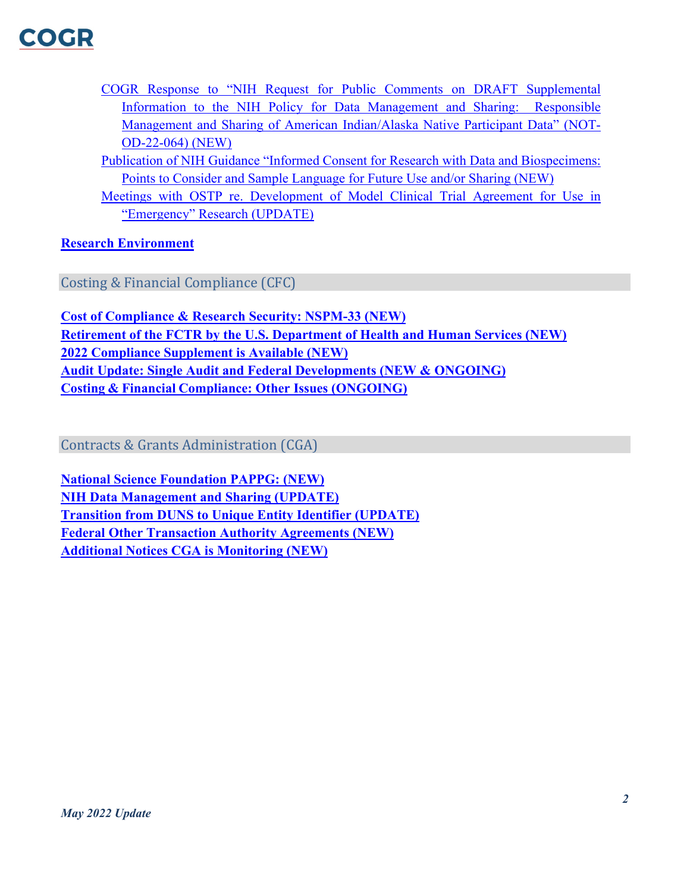- [COGR Response to "NIH Request for Public Comments on DRAFT Supplemental](#page-11-0)  [Information to the NIH Policy for Data Management and Sharing: Responsible](#page-11-0)  [Management and Sharing of American Indian/Alaska Native Participant Data" \(NOT-](#page-11-0)[OD-22-064\) \(NEW\)](#page-11-0)
- [Publication of NIH Guidance "Informed Consent for Research with Data and Biospecimens:](#page-11-1)  [Points to Consider and Sample Language for Future Use and/or Sharing \(NEW\)](#page-11-1)
- [Meetings with OSTP re. Development of Model Clinical Trial Agreement for Use in](#page-11-2)  ["Emergency" Research \(UPDATE\)](#page-11-2)

**[Research Environment](#page-11-3)**

Costing & Financial Compliance (CFC)

**[Cost of Compliance & Research Security: NSPM-33 \(NEW\)](#page-12-0) [Retirement of the FCTR by the U.S. Department of Health and Human Services \(NEW\)](#page-12-1) [2022 Compliance Supplement is Available \(NEW\)](#page-13-0) [Audit Update: Single Audit and Federal Developments \(NEW & ONGOING\)](#page-13-1) [Costing & Financial Compliance: Other Issues \(ONGOING\)](#page-14-0)**

Contracts & Grants Administration (CGA)

**[National Science Foundation PAPPG: \(NEW\)](#page-16-0) [NIH Data Management and Sharing \(UPDATE\)](#page-17-0) [Transition from DUNS to Unique Entity Identifier \(UPDATE\)](#page-17-1) [Federal Other Transaction Authority Agreements \(NEW\)](#page-18-0) [Additional Notices CGA](#page-18-1) is Monitoring (NEW)**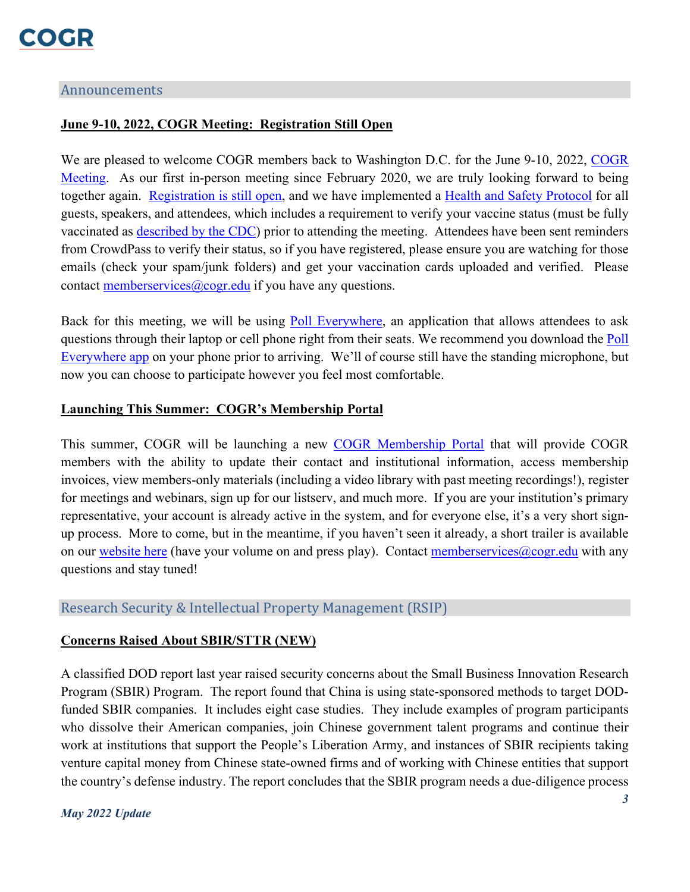#### Announcements

#### <span id="page-2-0"></span>**June 9-10, 2022, COGR Meeting: Registration Still Open**

We are pleased to welcome [COGR](https://www.cogr.edu/Meetings) members back to Washington D.C. for the June 9-10, 2022, COGR [Meeting.](https://www.cogr.edu/Meetings) As our first in-person meeting since February 2020, we are truly looking forward to being together again. [Registration is still open,](https://www.eventbrite.com/e/council-on-governmental-relations-june-9-10-2022-meeting-washington-dc-tickets-327402187757) and we have implemented a [Health and Safety Protocol](https://www.cogr.edu/cogr-meeting-health-and-safety-protocol) for all guests, speakers, and attendees, which includes a requirement to verify your vaccine status (must be fully vaccinated as [described by the CDC\)](https://www.cdc.gov/coronavirus/2019-ncov/vaccines/faq.html) prior to attending the meeting. Attendees have been sent reminders from CrowdPass to verify their status, so if you have registered, please ensure you are watching for those emails (check your spam/junk folders) and get your vaccination cards uploaded and verified. Please contact memberservices  $@cogr.edu$  if you have any questions.

Back for this meeting, we will be using [Poll Everywhere,](https://www.polleverywhere.com/mobile) an application that allows attendees to ask questions through their laptop or cell phone right from their seats. We recommend you download the [Poll](https://www.polleverywhere.com/mobile)  [Everywhere app](https://www.polleverywhere.com/mobile) on your phone prior to arriving. We'll of course still have the standing microphone, but now you can choose to participate however you feel most comfortable.

#### <span id="page-2-1"></span>**Launching This Summer: COGR's Membership Portal**

This summer, COGR will be launching a new [COGR Membership Portal](https://www.cogr.edu/coming-soon-cogrs-membership-portal) that will provide COGR members with the ability to update their contact and institutional information, access membership invoices, view members-only materials (including a video library with past meeting recordings!), register for meetings and webinars, sign up for our listserv, and much more. If you are your institution's primary representative, your account is already active in the system, and for everyone else, it's a very short signup process. More to come, but in the meantime, if you haven't seen it already, a short trailer is available on our [website here](https://www.cogr.edu/coming-soon-cogrs-membership-portal) (have your volume on and press play). Contact memberservices  $\omega$ cogr.edu with any questions and stay tuned!

#### <span id="page-2-2"></span>Research Security & Intellectual Property Management (RSIP)

#### **Concerns Raised About SBIR/STTR (NEW)**

A classified DOD report last year raised security concerns about the Small Business Innovation Research Program (SBIR) Program. The report found that China is using state-sponsored methods to target DODfunded SBIR companies. It includes eight case studies. They include examples of program participants who dissolve their American companies, join Chinese government talent programs and continue their work at institutions that support the People's Liberation Army, and instances of SBIR recipients taking venture capital money from Chinese state-owned firms and of working with Chinese entities that support the country's defense industry. The report concludes that the SBIR program needs a due-diligence process

#### *May 2022 Update*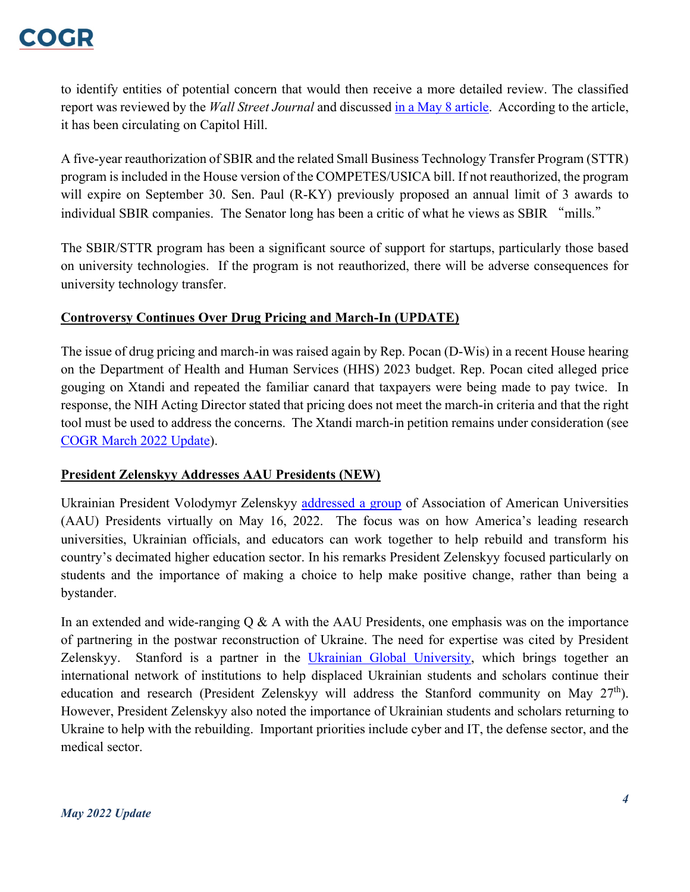## **COCHR**

to identify entities of potential concern that would then receive a more detailed review. The classified report was reviewed by the *Wall Street Journal* and discussed [in a May 8](https://www.wsj.com/articles/pentagons-china-warning-prompts-calls-to-vet-u-s-funding-of-startups-11652014803) article. According to the article, it has been circulating on Capitol Hill.

A five-year reauthorization of SBIR and the related Small Business Technology Transfer Program (STTR) program is included in the House version of the COMPETES/USICA bill. If not reauthorized, the program will expire on September 30. Sen. Paul (R-KY) previously proposed an annual limit of 3 awards to individual SBIR companies. The Senator long has been a critic of what he views as SBIR "mills."

The SBIR/STTR program has been a significant source of support for startups, particularly those based on university technologies. If the program is not reauthorized, there will be adverse consequences for university technology transfer.

#### <span id="page-3-0"></span>**Controversy Continues Over Drug Pricing and March-In (UPDATE)**

The issue of drug pricing and march-in was raised again by Rep. Pocan (D-Wis) in a recent House hearing on the Department of Health and Human Services (HHS) 2023 budget. Rep. Pocan cited alleged price gouging on Xtandi and repeated the familiar canard that taxpayers were being made to pay twice. In response, the NIH Acting Director stated that pricing does not meet the march-in criteria and that the right tool must be used to address the concerns. The Xtandi march-in petition remains under consideration (see [COGR March 2022 Update\)](https://www.cogr.edu/sites/default/files/March%202022%20Update%20-%20FINAL.pdf).

#### <span id="page-3-1"></span>**President Zelenskyy Addresses AAU Presidents (NEW)**

Ukrainian President Volodymyr Zelenskyy [addressed a group](https://www.youtube.com/watch?v=gJPIHWeNcDkhere.) of Association of American Universities (AAU) Presidents virtually on May 16, 2022. The focus was on how America's leading research universities, Ukrainian officials, and educators can work together to help rebuild and transform his country's decimated higher education sector. In his remarks President Zelenskyy focused particularly on students and the importance of making a choice to help make positive change, rather than being a bystander.

In an extended and wide-ranging  $Q \& A$  with the AAU Presidents, one emphasis was on the importance of partnering in the postwar reconstruction of Ukraine. The need for expertise was cited by President Zelenskyy. Stanford is a partner in the *Ukrainian Global University*, which brings together an international network of institutions to help displaced Ukrainian students and scholars continue their education and research (President Zelenskyy will address the Stanford community on May  $27<sup>th</sup>$ ). However, President Zelenskyy also noted the importance of Ukrainian students and scholars returning to Ukraine to help with the rebuilding. Important priorities include cyber and IT, the defense sector, and the medical sector.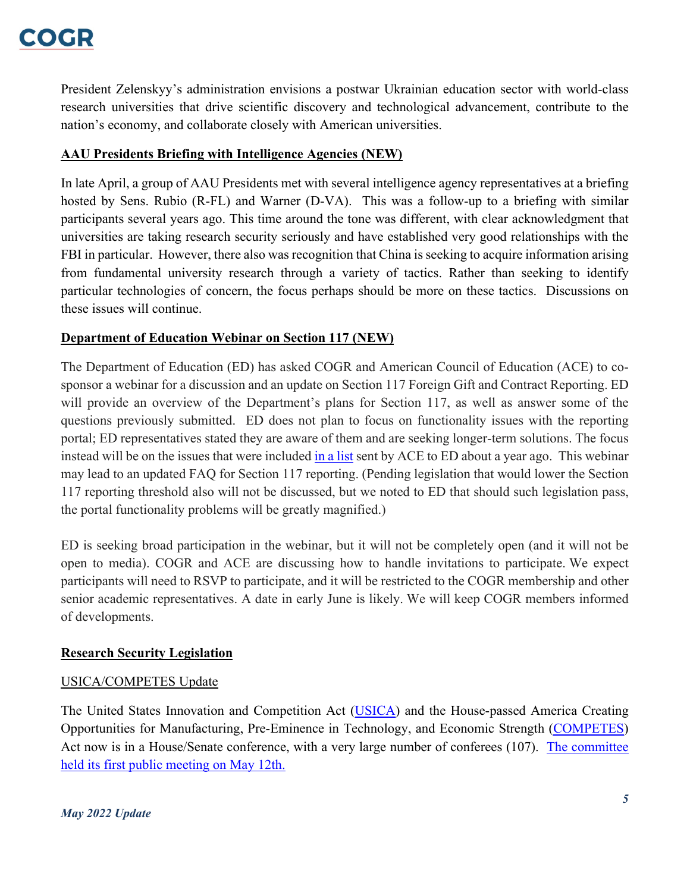President Zelenskyy's administration envisions a postwar Ukrainian education sector with world-class research universities that drive scientific discovery and technological advancement, contribute to the nation's economy, and collaborate closely with American universities.

## <span id="page-4-0"></span>**AAU Presidents Briefing with Intelligence Agencies (NEW)**

In late April, a group of AAU Presidents met with several intelligence agency representatives at a briefing hosted by Sens. Rubio (R-FL) and Warner (D-VA). This was a follow-up to a briefing with similar participants several years ago. This time around the tone was different, with clear acknowledgment that universities are taking research security seriously and have established very good relationships with the FBI in particular. However, there also was recognition that China is seeking to acquire information arising from fundamental university research through a variety of tactics. Rather than seeking to identify particular technologies of concern, the focus perhaps should be more on these tactics. Discussions on these issues will continue.

## <span id="page-4-1"></span>**Department of Education Webinar on Section 117 (NEW)**

The Department of Education (ED) has asked COGR and American Council of Education (ACE) to cosponsor a webinar for a discussion and an update on Section 117 Foreign Gift and Contract Reporting. ED will provide an overview of the Department's plans for Section 117, as well as answer some of the questions previously submitted. ED does not plan to focus on functionality issues with the reporting portal; ED representatives stated they are aware of them and are seeking longer-term solutions. The focus instead will be on the issues that were included [in a list](https://www.cogr.edu/sites/default/files/Outstanding%20questions%20on%20Section%20117.final_.pdf) sent by ACE to ED about a year ago. This webinar may lead to an updated FAQ for Section 117 reporting. (Pending legislation that would lower the Section 117 reporting threshold also will not be discussed, but we noted to ED that should such legislation pass, the portal functionality problems will be greatly magnified.)

ED is seeking broad participation in the webinar, but it will not be completely open (and it will not be open to media). COGR and ACE are discussing how to handle invitations to participate. We expect participants will need to RSVP to participate, and it will be restricted to the COGR membership and other senior academic representatives. A date in early June is likely. We will keep COGR members informed of developments.

## <span id="page-4-2"></span>**Research Security Legislation**

## <span id="page-4-3"></span>USICA/COMPETES Update

The United States Innovation and Competition Act [\(USICA\)](https://www.americanactionforum.org/insight/the-united-states-innovation-and-competition-act-usica-a-primer/) and the House-passed America Creating Opportunities for Manufacturing, Pre-Eminence in Technology, and Economic Strength [\(COMPETES\)](https://www.americanactionforum.org/insight/industrial-policy-america-competes-act-and-usica/) Act now is in a House/Senate conference, with a very large number of conferees (107). [The committee](https://www.commerce.senate.gov/2022/5/conference-committee-on-bipartisan-innovation-and-competition-legislation/09f47b9c-1609-4129-9704-5cde059883a3)  [held its first public meeting on May 12th.](https://www.commerce.senate.gov/2022/5/conference-committee-on-bipartisan-innovation-and-competition-legislation/09f47b9c-1609-4129-9704-5cde059883a3)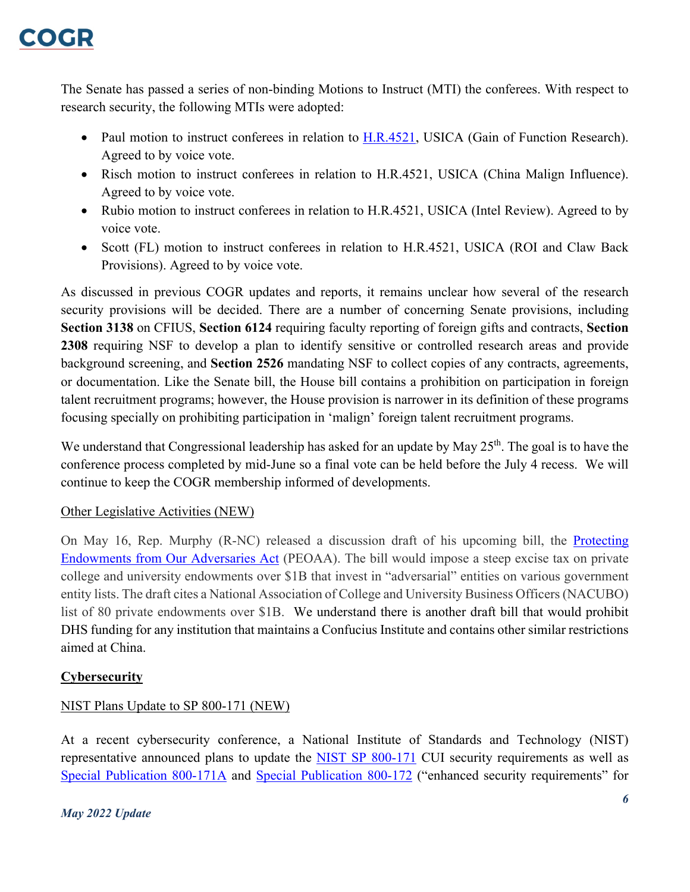The Senate has passed a series of non-binding Motions to Instruct (MTI) the conferees. With respect to research security, the following MTIs were adopted:

- Paul motion to instruct conferees in relation to [H.R.4521,](https://www.congress.gov/bill/117th-congress/house-bill/4521) USICA (Gain of Function Research). Agreed to by voice vote.
- Risch motion to instruct conferees in relation to H.R.4521, USICA (China Malign Influence). Agreed to by voice vote.
- Rubio motion to instruct conferees in relation to H.R.4521, USICA (Intel Review). Agreed to by voice vote.
- Scott (FL) motion to instruct conferees in relation to H.R.4521, USICA (ROI and Claw Back Provisions). Agreed to by voice vote.

As discussed in previous COGR updates and reports, it remains unclear how several of the research security provisions will be decided. There are a number of concerning Senate provisions, including **Section 3138** on CFIUS, **Section 6124** requiring faculty reporting of foreign gifts and contracts, **Section 2308** requiring NSF to develop a plan to identify sensitive or controlled research areas and provide background screening, and **Section 2526** mandating NSF to collect copies of any contracts, agreements, or documentation. Like the Senate bill, the House bill contains a prohibition on participation in foreign talent recruitment programs; however, the House provision is narrower in its definition of these programs focusing specially on prohibiting participation in 'malign' foreign talent recruitment programs.

We understand that Congressional leadership has asked for an update by May 25<sup>th</sup>. The goal is to have the conference process completed by mid-June so a final vote can be held before the July 4 recess. We will continue to keep the COGR membership informed of developments.

## <span id="page-5-0"></span>Other Legislative Activities (NEW)

On May 16, Rep. Murphy (R-NC) released a discussion draft of his upcoming bill, the [Protecting](https://gregmurphy.house.gov/media/press-releases/murphy-releases-discussion-draft-protecting-endowments-our-adversaries-act-0#:%7E:text=The%20Protecting%20Endowments%20from%20Our%20Adversaries%20Act%20applies%20to%20private,entities%20with%20no%20additional%20penalty.)  [Endowments from Our Adversaries Act](https://gregmurphy.house.gov/media/press-releases/murphy-releases-discussion-draft-protecting-endowments-our-adversaries-act-0#:%7E:text=The%20Protecting%20Endowments%20from%20Our%20Adversaries%20Act%20applies%20to%20private,entities%20with%20no%20additional%20penalty.) (PEOAA). The bill would impose a steep excise tax on private college and university endowments over \$1B that invest in "adversarial" entities on various government entity lists. The draft cites a National Association of College and University Business Officers (NACUBO) list of 80 private endowments over \$1B. We understand there is another draft bill that would prohibit DHS funding for any institution that maintains a Confucius Institute and contains other similar restrictions aimed at China.

## <span id="page-5-1"></span>**Cybersecurity**

## <span id="page-5-2"></span>NIST Plans Update to SP 800-171 (NEW)

At a recent cybersecurity conference, a National Institute of Standards and Technology (NIST) representative announced plans to update the [NIST SP 800-171](https://csrc.nist.gov/publications/detail/sp/800-171/rev-2/final) CUI security requirements as well as [Special Publication 800-171A](https://csrc.nist.gov/publications/detail/sp/800-171a/final#:%7E:text=This%20publication%20provides%20federal%20and,in%20Nonfederal%20Systems%20and%20Organizations.) and [Special Publication 800-172](https://csrc.nist.gov/publications/detail/sp/800-172/final) ("enhanced security requirements" for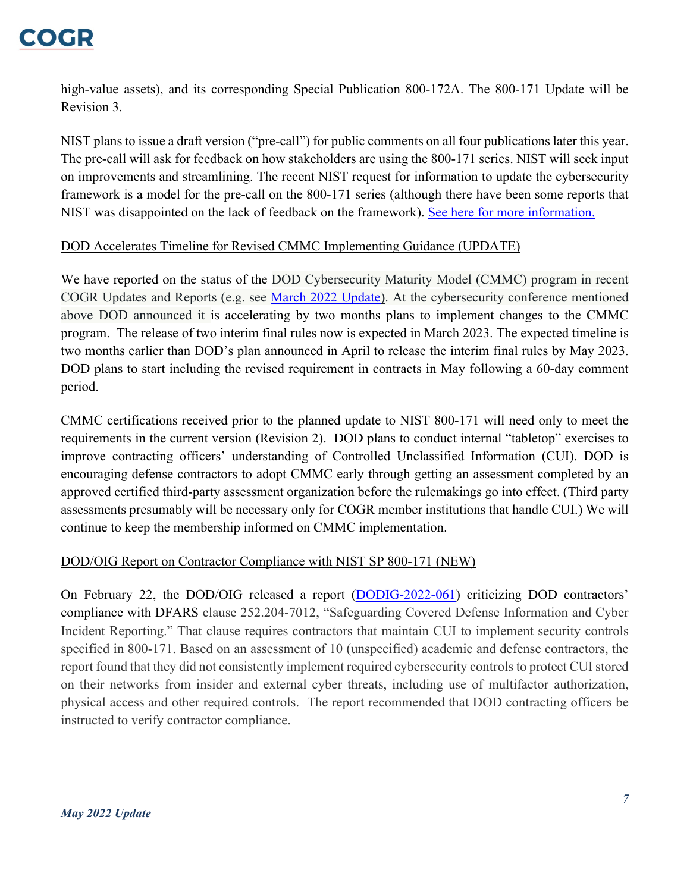

high-value assets), and its corresponding Special Publication 800-172A. The 800-171 Update will be Revision 3.

NIST plans to issue a draft version ("pre-call") for public comments on all four publications later this year. The pre-call will ask for feedback on how stakeholders are using the 800-171 series. NIST will seek input on improvements and streamlining. The recent NIST request for information to update the cybersecurity framework is a model for the pre-call on the 800-171 series (although there have been some reports that NIST was disappointed on the lack of feedback on the framework). [See here for more information.](https://insidedefense.com/daily-news/nist-plans-release-pre-call-comments-controlled-unclassified-information-publications)

#### <span id="page-6-0"></span>DOD Accelerates Timeline for Revised CMMC Implementing Guidance (UPDATE)

We have reported on the status of the DOD Cybersecurity Maturity Model (CMMC) program in recent COGR Updates and Reports (e.g. see [March 2022 Update\)](https://www.cogr.edu/sites/default/files/March%202022%20Update%20-%20FINAL.pdf). At the cybersecurity conference mentioned above DOD announced it is accelerating by two months plans to implement changes to the CMMC program. The release of two interim final rules now is expected in March 2023. The expected timeline is two months earlier than DOD's plan announced in April to release the interim final rules by May 2023. DOD plans to start including the revised requirement in contracts in May following a 60-day comment period.

CMMC certifications received prior to the planned update to NIST 800-171 will need only to meet the requirements in the current version (Revision 2). DOD plans to conduct internal "tabletop" exercises to improve contracting officers' understanding of Controlled Unclassified Information (CUI). DOD is encouraging defense contractors to adopt CMMC early through getting an assessment completed by an approved certified third-party assessment organization before the rulemakings go into effect. (Third party assessments presumably will be necessary only for COGR member institutions that handle CUI.) We will continue to keep the membership informed on CMMC implementation.

#### <span id="page-6-1"></span>DOD/OIG Report on Contractor Compliance with NIST SP 800-171 (NEW)

On February 22, the DOD/OIG released a report [\(DODIG-2022-061\)](https://media.defense.gov/2022/Feb/24/2002944191/-1/-1/1/DODIG-2022-061.PDF) criticizing DOD contractors' compliance with DFARS clause 252.204-7012, "Safeguarding Covered Defense Information and Cyber Incident Reporting." That clause requires contractors that maintain CUI to implement security controls specified in 800-171. Based on an assessment of 10 (unspecified) academic and defense contractors, the report found that they did not consistently implement required cybersecurity controls to protect CUI stored on their networks from insider and external cyber threats, including use of multifactor authorization, physical access and other required controls. The report recommended that DOD contracting officers be instructed to verify contractor compliance.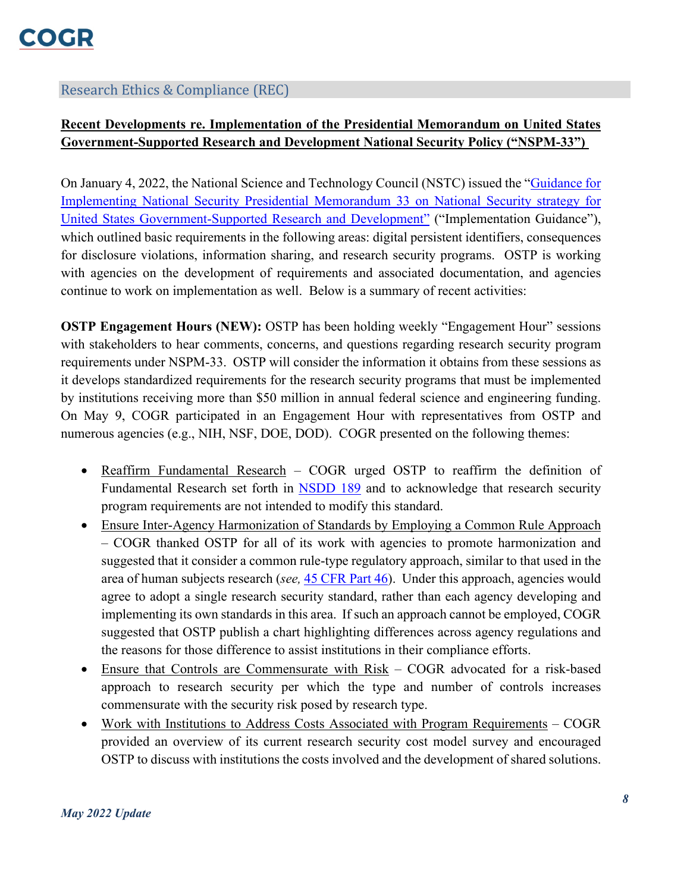### Research Ethics & Compliance (REC)

## <span id="page-7-0"></span>**Recent Developments re. Implementation of the Presidential Memorandum on United States Government-Supported Research and Development National Security Policy ("NSPM-33")**

On January 4, 2022, the National Science and Technology Council (NSTC) issued the ["Guidance for](https://www.whitehouse.gov/wp-content/uploads/2022/01/010422-NSPM-33-Implementation-Guidance.pdf)  [Implementing National Security Presidential Memorandum 33 on National Security strategy for](https://www.whitehouse.gov/wp-content/uploads/2022/01/010422-NSPM-33-Implementation-Guidance.pdf)  [United States Government-Supported Research and Development"](https://www.whitehouse.gov/wp-content/uploads/2022/01/010422-NSPM-33-Implementation-Guidance.pdf) ("Implementation Guidance"), which outlined basic requirements in the following areas: digital persistent identifiers, consequences for disclosure violations, information sharing, and research security programs. OSTP is working with agencies on the development of requirements and associated documentation, and agencies continue to work on implementation as well. Below is a summary of recent activities:

**OSTP Engagement Hours (NEW):** OSTP has been holding weekly "Engagement Hour" sessions with stakeholders to hear comments, concerns, and questions regarding research security program requirements under NSPM-33. OSTP will consider the information it obtains from these sessions as it develops standardized requirements for the research security programs that must be implemented by institutions receiving more than \$50 million in annual federal science and engineering funding. On May 9, COGR participated in an Engagement Hour with representatives from OSTP and numerous agencies (e.g., NIH, NSF, DOE, DOD). COGR presented on the following themes:

- Reaffirm Fundamental Research COGR urged OSTP to reaffirm the definition of Fundamental Research set forth in [NSDD 189](https://irp.fas.org/offdocs/nsdd/nsdd-189.htm) and to acknowledge that research security program requirements are not intended to modify this standard.
- Ensure Inter-Agency Harmonization of Standards by Employing a Common Rule Approach – COGR thanked OSTP for all of its work with agencies to promote harmonization and suggested that it consider a common rule-type regulatory approach, similar to that used in the area of human subjects research (*see,* [45 CFR Part 46\)](https://www.ecfr.gov/current/title-45/subtitle-A/subchapter-A/part-46). Under this approach, agencies would agree to adopt a single research security standard, rather than each agency developing and implementing its own standards in this area. If such an approach cannot be employed, COGR suggested that OSTP publish a chart highlighting differences across agency regulations and the reasons for those difference to assist institutions in their compliance efforts.
- Ensure that Controls are Commensurate with Risk COGR advocated for a risk-based approach to research security per which the type and number of controls increases commensurate with the security risk posed by research type.
- Work with Institutions to Address Costs Associated with Program Requirements COGR provided an overview of its current research security cost model survey and encouraged OSTP to discuss with institutions the costs involved and the development of shared solutions.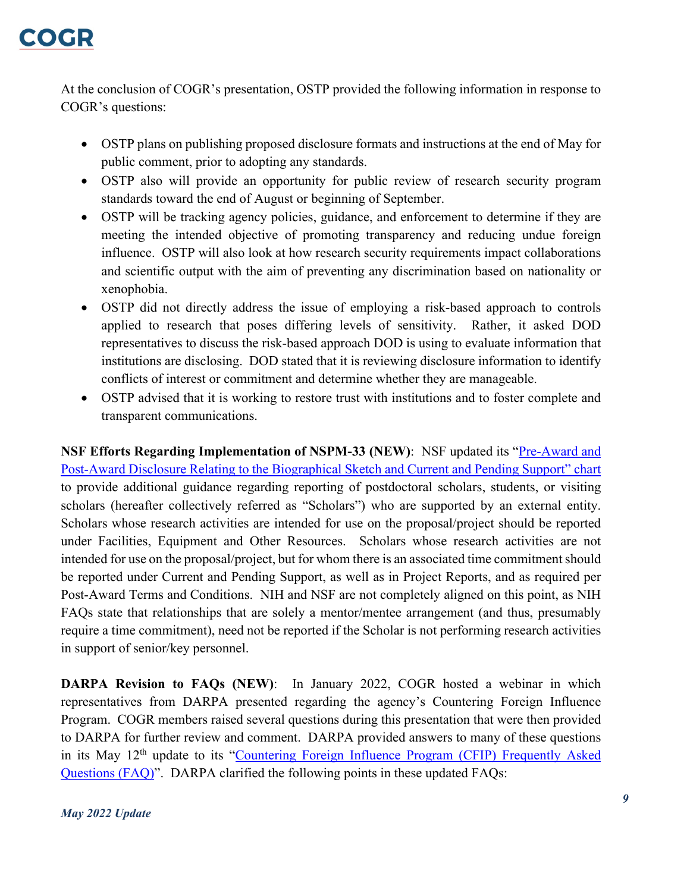At the conclusion of COGR's presentation, OSTP provided the following information in response to COGR's questions:

- OSTP plans on publishing proposed disclosure formats and instructions at the end of May for public comment, prior to adopting any standards.
- OSTP also will provide an opportunity for public review of research security program standards toward the end of August or beginning of September.
- OSTP will be tracking agency policies, guidance, and enforcement to determine if they are meeting the intended objective of promoting transparency and reducing undue foreign influence. OSTP will also look at how research security requirements impact collaborations and scientific output with the aim of preventing any discrimination based on nationality or xenophobia.
- OSTP did not directly address the issue of employing a risk-based approach to controls applied to research that poses differing levels of sensitivity. Rather, it asked DOD representatives to discuss the risk-based approach DOD is using to evaluate information that institutions are disclosing. DOD stated that it is reviewing disclosure information to identify conflicts of interest or commitment and determine whether they are manageable.
- OSTP advised that it is working to restore trust with institutions and to foster complete and transparent communications.

**NSF Efforts Regarding Implementation of NSPM-33 (NEW):** NSF updated its "Pre-Award and [Post-Award Disclosure Relating to the Biographical Sketch and Current and Pending Support" chart](https://www.nsf.gov/bfa/dias/policy/disclosures_table.jsp) to provide additional guidance regarding reporting of postdoctoral scholars, students, or visiting scholars (hereafter collectively referred as "Scholars") who are supported by an external entity. Scholars whose research activities are intended for use on the proposal/project should be reported under Facilities, Equipment and Other Resources. Scholars whose research activities are not intended for use on the proposal/project, but for whom there is an associated time commitment should be reported under Current and Pending Support, as well as in Project Reports, and as required per Post-Award Terms and Conditions. NIH and NSF are not completely aligned on this point, as NIH FAQs state that relationships that are solely a mentor/mentee arrangement (and thus, presumably require a time commitment), need not be reported if the Scholar is not performing research activities in support of senior/key personnel.

**DARPA Revision to FAQs (NEW)**: In January 2022, COGR hosted a webinar in which representatives from DARPA presented regarding the agency's Countering Foreign Influence Program. COGR members raised several questions during this presentation that were then provided to DARPA for further review and comment. DARPA provided answers to many of these questions in its May 12<sup>th</sup> update to its "Countering Foreign Influence Program (CFIP) Frequently Asked [Questions \(FAQ\)"](https://www.darpa.mil/attachments/CFIPFAQ.pdf). DARPA clarified the following points in these updated FAQs: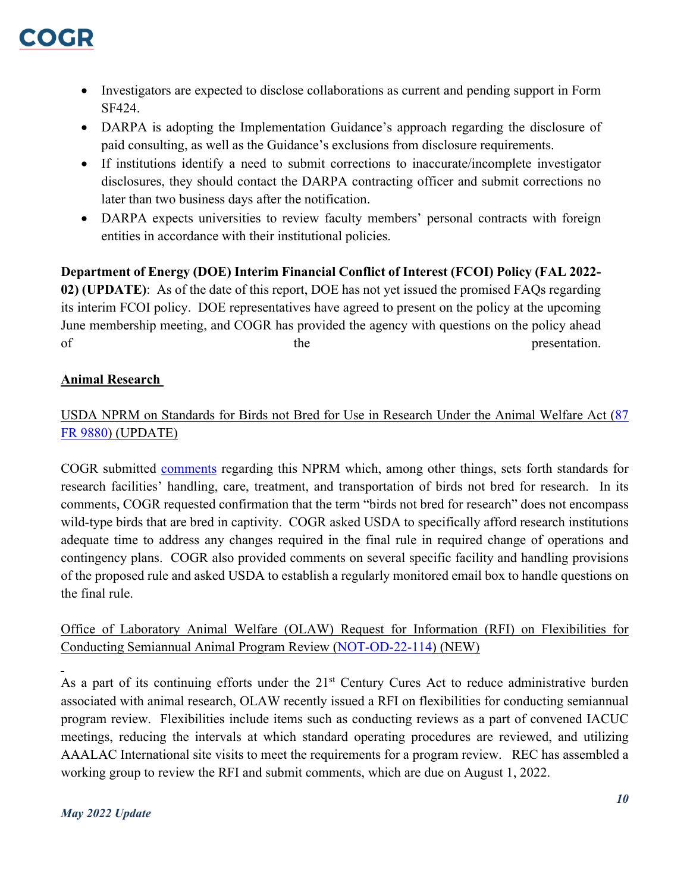

- Investigators are expected to disclose collaborations as current and pending support in Form SF424.
- DARPA is adopting the Implementation Guidance's approach regarding the disclosure of paid consulting, as well as the Guidance's exclusions from disclosure requirements.
- If institutions identify a need to submit corrections to inaccurate/incomplete investigator disclosures, they should contact the DARPA contracting officer and submit corrections no later than two business days after the notification.
- DARPA expects universities to review faculty members' personal contracts with foreign entities in accordance with their institutional policies.

**Department of Energy (DOE) Interim Financial Conflict of Interest (FCOI) Policy (FAL 2022- 02) (UPDATE)**: As of the date of this report, DOE has not yet issued the promised FAQs regarding its interim FCOI policy. DOE representatives have agreed to present on the policy at the upcoming June membership meeting, and COGR has provided the agency with questions on the policy ahead of the the presentation.

### <span id="page-9-0"></span>**Animal Research**

## <span id="page-9-1"></span>USDA NPRM on Standards for Birds not Bred for Use in Research Under the Animal Welfare Act [\(87](https://www.federalregister.gov/documents/2022/02/22/2022-03565/standards-for-birds-not-bred-for-use-in-research-under-the-animal-welfare-act)  [FR 9880\)](https://www.federalregister.gov/documents/2022/02/22/2022-03565/standards-for-birds-not-bred-for-use-in-research-under-the-animal-welfare-act) (UPDATE)

COGR submitted [comments](https://www.cogr.edu/sites/default/files/final%20response%20USDA%20APHIS%20Proposed%20Rule%20re%20Birds%20comments.pdf) regarding this NPRM which, among other things, sets forth standards for research facilities' handling, care, treatment, and transportation of birds not bred for research. In its comments, COGR requested confirmation that the term "birds not bred for research" does not encompass wild-type birds that are bred in captivity. COGR asked USDA to specifically afford research institutions adequate time to address any changes required in the final rule in required change of operations and contingency plans. COGR also provided comments on several specific facility and handling provisions of the proposed rule and asked USDA to establish a regularly monitored email box to handle questions on the final rule.

## <span id="page-9-2"></span>Office of Laboratory Animal Welfare (OLAW) Request for Information (RFI) on Flexibilities for Conducting Semiannual Animal Program Review [\(NOT-OD-22-114\)](https://grants.nih.gov/grants/guide/notice-files/NOT-OD-22-114.html) (NEW)

As a part of its continuing efforts under the 21<sup>st</sup> Century Cures Act to reduce administrative burden associated with animal research, OLAW recently issued a RFI on flexibilities for conducting semiannual program review. Flexibilities include items such as conducting reviews as a part of convened IACUC meetings, reducing the intervals at which standard operating procedures are reviewed, and utilizing AAALAC International site visits to meet the requirements for a program review. REC has assembled a working group to review the RFI and submit comments, which are due on August 1, 2022.

#### *May 2022 Update*

 $\overline{a}$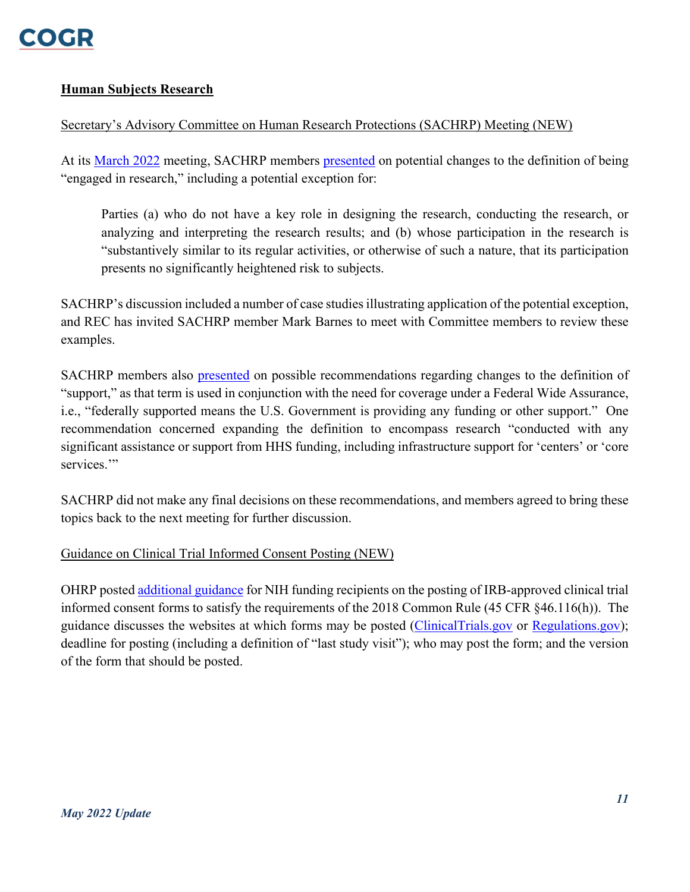

### <span id="page-10-0"></span>**Human Subjects Research**

#### <span id="page-10-1"></span>Secretary's Advisory Committee on Human Research Protections (SACHRP) Meeting (NEW)

At its [March 2022](https://www.hhs.gov/ohrp/sachrp-committee/meetings/march10-11-2022/index.html) meeting, SACHRP members [presented](https://www.regulations.gov/document/HHS-OASH-2022-0004-0014) on potential changes to the definition of being "engaged in research," including a potential exception for:

Parties (a) who do not have a key role in designing the research, conducting the research, or analyzing and interpreting the research results; and (b) whose participation in the research is "substantively similar to its regular activities, or otherwise of such a nature, that its participation presents no significantly heightened risk to subjects.

SACHRP's discussion included a number of case studies illustrating application of the potential exception, and REC has invited SACHRP member Mark Barnes to meet with Committee members to review these examples.

SACHRP members also [presented](https://www.regulations.gov/document/HHS-OASH-2022-0004-0008) on possible recommendations regarding changes to the definition of "support," as that term is used in conjunction with the need for coverage under a Federal Wide Assurance, i.e., "federally supported means the U.S. Government is providing any funding or other support." One recommendation concerned expanding the definition to encompass research "conducted with any significant assistance or support from HHS funding, including infrastructure support for 'centers' or 'core services."

SACHRP did not make any final decisions on these recommendations, and members agreed to bring these topics back to the next meeting for further discussion.

#### <span id="page-10-2"></span>Guidance on Clinical Trial Informed Consent Posting (NEW)

OHRP posted [additional guidance](https://www.hhs.gov/ohrp/regulations-and-policy/informed-consent-posting/informed-consent-posting-guidance/index.html) for NIH funding recipients on the posting of IRB-approved clinical trial informed consent forms to satisfy the requirements of the 2018 Common Rule (45 CFR §46.116(h)). The guidance discusses the websites at which forms may be posted [\(ClinicalTrials.gov](https://clinicaltrials.gov/) or [Regulations.gov\)](https://www.regulations.gov/); deadline for posting (including a definition of "last study visit"); who may post the form; and the version of the form that should be posted.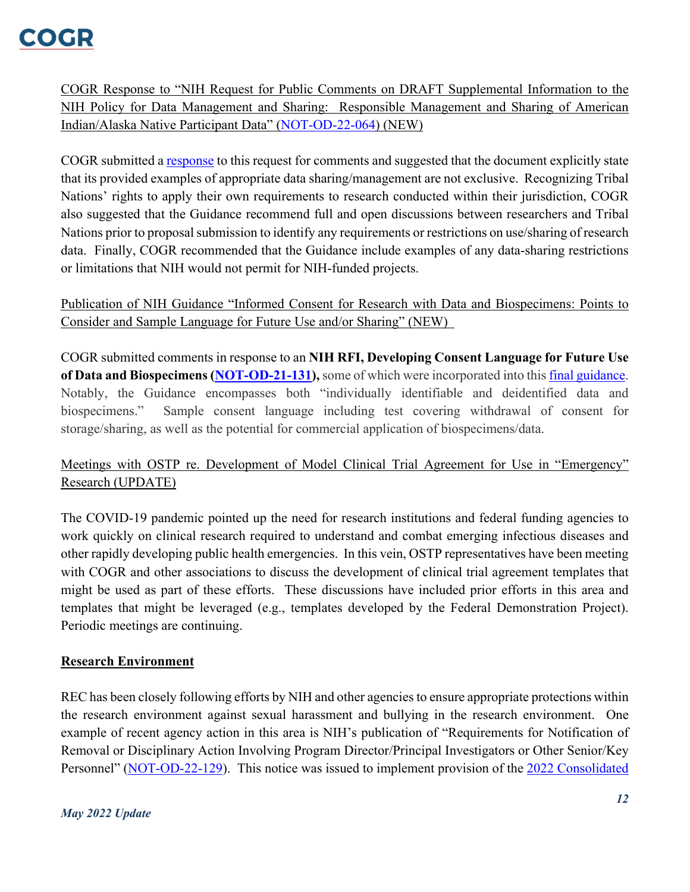## **COCHR**

<span id="page-11-0"></span>COGR Response to "NIH Request for Public Comments on DRAFT Supplemental Information to the NIH Policy for Data Management and Sharing: Responsible Management and Sharing of American Indian/Alaska Native Participant Data" [\(NOT-OD-22-064\)](https://grants.nih.gov/grants/guide/notice-files/NOT-OD-22-064.html) (NEW)

COGR submitted a [response](https://www.cogr.edu/sites/default/files/COGR%20Response_NIH%20NOT%20OD%2022%20064.pdf) to this request for comments and suggested that the document explicitly state that its provided examples of appropriate data sharing/management are not exclusive. Recognizing Tribal Nations' rights to apply their own requirements to research conducted within their jurisdiction, COGR also suggested that the Guidance recommend full and open discussions between researchers and Tribal Nations prior to proposal submission to identify any requirements or restrictions on use/sharing of research data. Finally, COGR recommended that the Guidance include examples of any data-sharing restrictions or limitations that NIH would not permit for NIH-funded projects.

<span id="page-11-1"></span>Publication of NIH Guidance "Informed Consent for Research with Data and Biospecimens: Points to Consider and Sample Language for Future Use and/or Sharing" (NEW)

COGR submitted comments in response to an **NIH RFI, Developing Consent Language for Future Use of Data and Biospecimens [\(NOT-OD-21-131\)](https://grants.nih.gov/grants/guide/notice-files/NOT-OD-21-131.html),** some of which were incorporated into this [final guidance.](https://osp.od.nih.gov/wp-content/uploads/Informed-Consent-Resource-for-Secondary-Research-with-Data-and-Biospecimens.pdf) Notably, the Guidance encompasses both "individually identifiable and deidentified data and biospecimens." Sample consent language including test covering withdrawal of consent for storage/sharing, as well as the potential for commercial application of biospecimens/data.

## <span id="page-11-2"></span>Meetings with OSTP re. Development of Model Clinical Trial Agreement for Use in "Emergency" Research (UPDATE)

The COVID-19 pandemic pointed up the need for research institutions and federal funding agencies to work quickly on clinical research required to understand and combat emerging infectious diseases and other rapidly developing public health emergencies. In this vein, OSTP representatives have been meeting with COGR and other associations to discuss the development of clinical trial agreement templates that might be used as part of these efforts. These discussions have included prior efforts in this area and templates that might be leveraged (e.g., templates developed by the Federal Demonstration Project). Periodic meetings are continuing.

## <span id="page-11-3"></span>**Research Environment**

REC has been closely following efforts by NIH and other agencies to ensure appropriate protections within the research environment against sexual harassment and bullying in the research environment. One example of recent agency action in this area is NIH's publication of "Requirements for Notification of Removal or Disciplinary Action Involving Program Director/Principal Investigators or Other Senior/Key Personnel" [\(NOT-OD-22-129\)](https://grants.nih.gov/grants/guide/notice-files/NOT-OD-22-129.html#:%7E:text=NOT%2DOD%2D22%2D129,or%20other%20Senior%2FKey%20Personnel). This notice was issued to implement provision of the 2022 Consolidated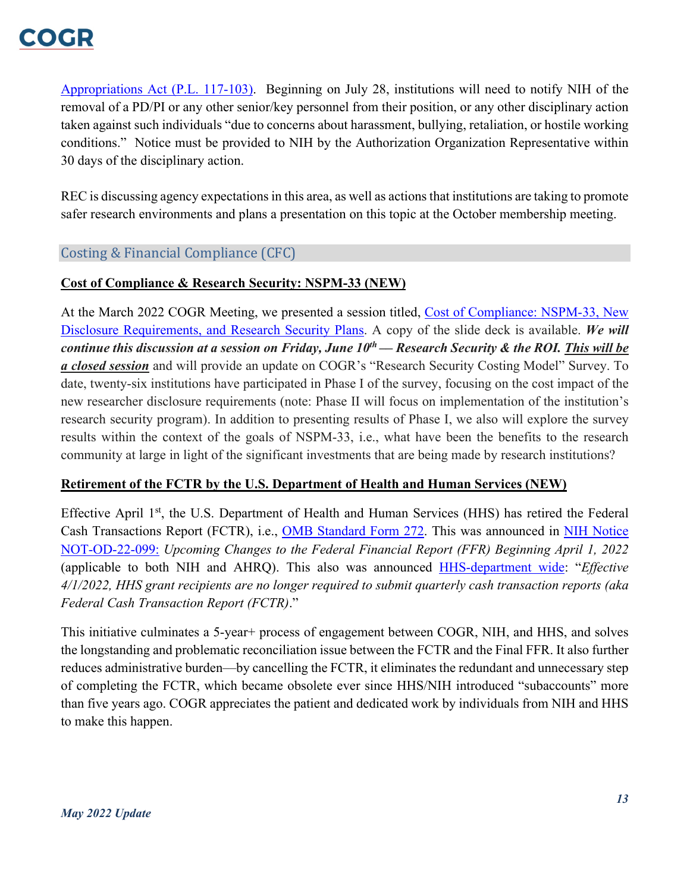

[Appropriations Act \(P.L. 117-103\).](https://www.congress.gov/bill/117th-congress/house-bill/2471/text) Beginning on July 28, institutions will need to notify NIH of the removal of a PD/PI or any other senior/key personnel from their position, or any other disciplinary action taken against such individuals "due to concerns about harassment, bullying, retaliation, or hostile working conditions." Notice must be provided to NIH by the Authorization Organization Representative within 30 days of the disciplinary action.

REC is discussing agency expectations in this area, as well as actions that institutions are taking to promote safer research environments and plans a presentation on this topic at the October membership meeting.

### Costing & Financial Compliance (CFC)

#### <span id="page-12-0"></span>**Cost of Compliance & Research Security: NSPM-33 (NEW)**

At the March 2022 COGR Meeting, we presented a session titled, [Cost of Compliance:](https://www.cogr.edu/sites/default/files/FINAL-Research%20Costs%20Survey%20Presentation%20slides.pdf) NSPM-33, New Disclosure [Requirements, and Research](https://www.cogr.edu/sites/default/files/FINAL-Research%20Costs%20Survey%20Presentation%20slides.pdf) Security Plans. A copy of the slide deck is available. *We will continue this discussion at a session on Friday, June 10th –– Research Security & the ROI. This will be a closed session* and will provide an update on COGR's "Research Security Costing Model" Survey. To date, twenty-six institutions have participated in Phase I of the survey, focusing on the cost impact of the new researcher disclosure requirements (note: Phase II will focus on implementation of the institution's research security program). In addition to presenting results of Phase I, we also will explore the survey results within the context of the goals of NSPM-33, i.e., what have been the benefits to the research community at large in light of the significant investments that are being made by research institutions?

#### <span id="page-12-1"></span>**Retirement of the FCTR by the U.S. Department of Health and Human Services (NEW)**

Effective April 1<sup>st</sup>, the U.S. Department of Health and Human Services (HHS) has retired the Federal Cash Transactions Report (FCTR), i.e., [OMB Standard Form 272.](https://directives.sc.egov.usda.gov/OpenNonWebContent.aspx?content=27881.wba) This was announced in [NIH Notice](https://grants.nih.gov/grants/guide/notice-files/NOT-OD-22-099.html)  [NOT-OD-22-099:](https://grants.nih.gov/grants/guide/notice-files/NOT-OD-22-099.html) *Upcoming Changes to the Federal Financial Report (FFR) Beginning April 1, 2022* (applicable to both NIH and AHRQ). This also was announced [HHS-department wide:](https://pms.psc.gov/grant-recipients/ffr-updates.html) "*Effective 4/1/2022, HHS grant recipients are no longer required to submit quarterly cash transaction reports (aka Federal Cash Transaction Report (FCTR)*."

This initiative culminates a 5-year+ process of engagement between COGR, NIH, and HHS, and solves the longstanding and problematic reconciliation issue between the FCTR and the Final FFR. It also further reduces administrative burden––by cancelling the FCTR, it eliminates the redundant and unnecessary step of completing the FCTR, which became obsolete ever since HHS/NIH introduced "subaccounts" more than five years ago. COGR appreciates the patient and dedicated work by individuals from NIH and HHS to make this happen.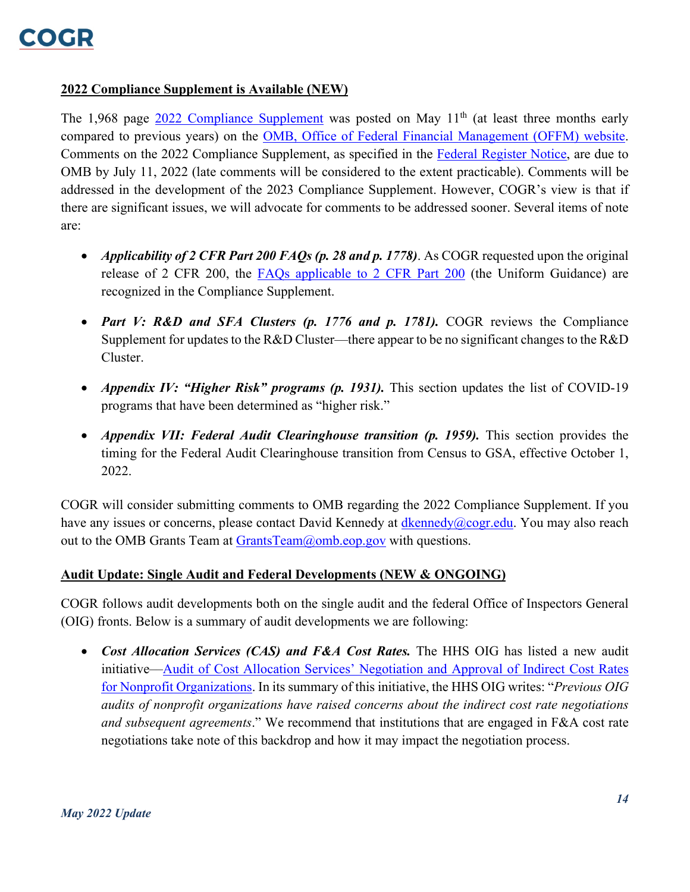

#### <span id="page-13-0"></span>**2022 Compliance Supplement is Available (NEW)**

The 1,968 page [2022 Compliance Supplement](https://www.whitehouse.gov/wp-content/uploads/2022/05/2022-Compliance-Supplement_PDF_Rev_05.11.22.pdf) was posted on May  $11<sup>th</sup>$  (at least three months early compared to previous years) on the [OMB, Office of Federal Financial Management \(OFFM\) website.](https://www.whitehouse.gov/omb/office-federal-financial-management/) Comments on the 2022 Compliance Supplement, as specified in the [Federal Register Notice,](https://www.federalregister.gov/documents/2022/05/12/2022-10182/uniform-administrative-requirements-cost-principles-and-audit-requirements) are due to OMB by July 11, 2022 (late comments will be considered to the extent practicable). Comments will be addressed in the development of the 2023 Compliance Supplement. However, COGR's view is that if there are significant issues, we will advocate for comments to be addressed sooner. Several items of note are:

- *Applicability of 2 CFR Part 200 FAQs (p. 28 and p. 1778)*. As COGR requested upon the original release of 2 CFR 200, the [FAQs applicable to 2 CFR Part 200](https://www.cfo.gov/assets/files/2CFR-FrequentlyAskedQuestions_2021050321.pdf) (the Uniform Guidance) are recognized in the Compliance Supplement.
- *Part V: R&D and SFA Clusters (p. 1776 and p. 1781).* COGR reviews the Compliance Supplement for updates to the R&D Cluster––there appear to be no significant changes to the R&D Cluster.
- *Appendix IV: "Higher Risk" programs (p. 1931).* This section updates the list of COVID-19 programs that have been determined as "higher risk."
- *Appendix VII: Federal Audit Clearinghouse transition (p. 1959).* This section provides the timing for the Federal Audit Clearinghouse transition from Census to GSA, effective October 1, 2022.

COGR will consider submitting comments to OMB regarding the 2022 Compliance Supplement. If you have any issues or concerns, please contact David Kennedy at [dkennedy@cogr.edu.](mailto:dkennedy@cogr.edu) You may also reach out to the OMB Grants Team at [GrantsTeam@omb.eop.gov](mailto:GrantsTeam@omb.eop.gov) with questions.

#### <span id="page-13-1"></span>**Audit Update: Single Audit and Federal Developments (NEW & ONGOING)**

COGR follows audit developments both on the single audit and the federal Office of Inspectors General (OIG) fronts. Below is a summary of audit developments we are following:

• *Cost Allocation Services (CAS) and F&A Cost Rates.* The HHS OIG has listed a new audit initiative–[–Audit of Cost Allocation Services' Negotiation and Approval of Indirect Cost Rates](https://oig.hhs.gov/reports-and-publications/workplan/summary/wp-summary-0000479.asp)  [for Nonprofit Organizations.](https://oig.hhs.gov/reports-and-publications/workplan/summary/wp-summary-0000479.asp) In its summary of this initiative, the HHS OIG writes: "*Previous OIG audits of nonprofit organizations have raised concerns about the indirect cost rate negotiations and subsequent agreements*." We recommend that institutions that are engaged in F&A cost rate negotiations take note of this backdrop and how it may impact the negotiation process.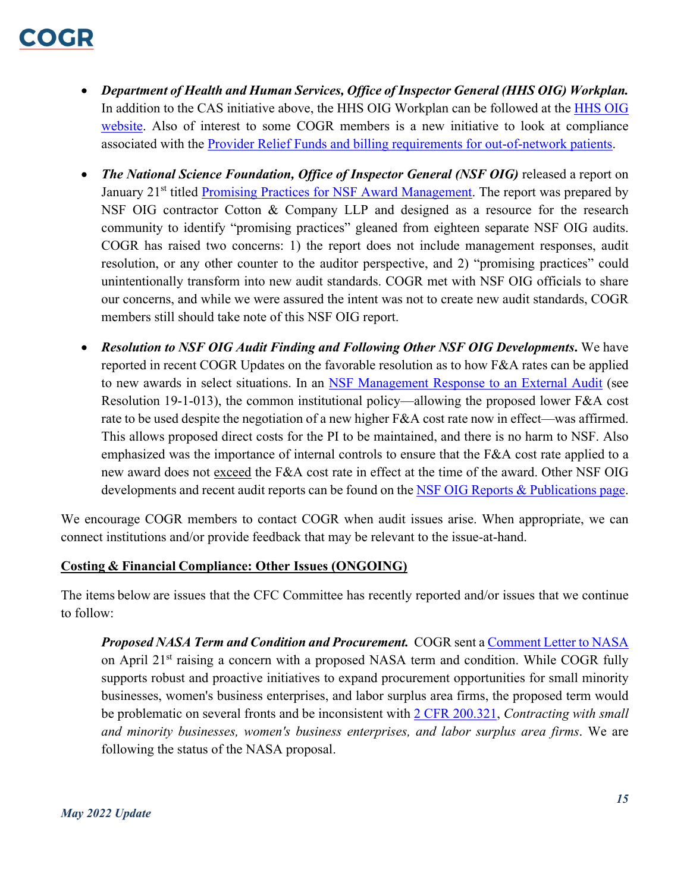# COCHR

- *Department of Health and Human Services, Office of Inspector General (HHS OIG) Workplan.* In addition to the CAS initiative above, the HHS OIG Workplan can be followed at the [HHS](https://oig.hhs.gov/reports-and-publications/workplan/) OIG [website.](https://oig.hhs.gov/reports-and-publications/workplan/) Also of interest to some COGR members is a new initiative to look at compliance associated with the [Provider Relief Funds and billing requirements for out-of-network patients.](https://oig.hhs.gov/reports-and-publications/workplan/summary/wp-summary-0000647.asp)
- *The National Science Foundation, Office of Inspector General (NSF OIG)* released a report on January 21<sup>st</sup> titled [Promising Practices for NSF Award Management.](https://oig.nsf.gov/reports/audit/promising-practices-nsf-award-management) The report was prepared by NSF OIG contractor Cotton & Company LLP and designed as a resource for the research community to identify "promising practices" gleaned from eighteen separate NSF OIG audits. COGR has raised two concerns: 1) the report does not include management responses, audit resolution, or any other counter to the auditor perspective, and 2) "promising practices" could unintentionally transform into new audit standards. COGR met with NSF OIG officials to share our concerns, and while we were assured the intent was not to create new audit standards, COGR members still should take note of this NSF OIG report.
- *Resolution to NSF OIG Audit Finding and Following Other NSF OIG Developments***.** We have reported in recent COGR Updates on the favorable resolution as to how F&A rates can be applied to new awards in select situations. In an [NSF Management Response to an External Audit](https://www.nsf.gov/bfa/responses.jsp) (see Resolution 19-1-013), the common institutional policy—allowing the proposed lower F&A cost rate to be used despite the negotiation of a new higher  $F&A$  cost rate now in effect—was affirmed. This allows proposed direct costs for the PI to be maintained, and there is no harm to NSF. Also emphasized was the importance of internal controls to ensure that the F&A cost rate applied to a new award does not exceed the F&A cost rate in effect at the time of the award. Other NSF OIG developments and recent audit reports can be found on the NSF [OIG Reports & Publications page.](https://oig.nsf.gov/reports-publications/reports)

We encourage COGR members to contact COGR when audit issues arise. When appropriate, we can connect institutions and/or provide feedback that may be relevant to the issue-at-hand.

#### <span id="page-14-0"></span>**Costing & Financial Compliance: Other Issues (ONGOING)**

The items below are issues that the CFC Committee has recently reported and/or issues that we continue to follow:

*Proposed NASA Term and Condition and Procurement.*  COGR sent a [Comment Letter to NASA](https://www.cogr.edu/sites/default/files/COGR_NASA_FRN_DocumentCitation-87FR-16244_April21.pdf) on April 21<sup>st</sup> raising a concern with a proposed NASA term and condition. While COGR fully supports robust and proactive initiatives to expand procurement opportunities for small minority businesses, women's business enterprises, and labor surplus area firms, the proposed term would be problematic on several fronts and be inconsistent with [2 CFR 200.321,](https://www.ecfr.gov/current/title-2/subtitle-A/chapter-II/part-200/subpart-D/subject-group-ECFR45ddd4419ad436d/section-200.321) *Contracting with small and minority businesses, women's business enterprises, and labor surplus area firms*. We are following the status of the NASA proposal.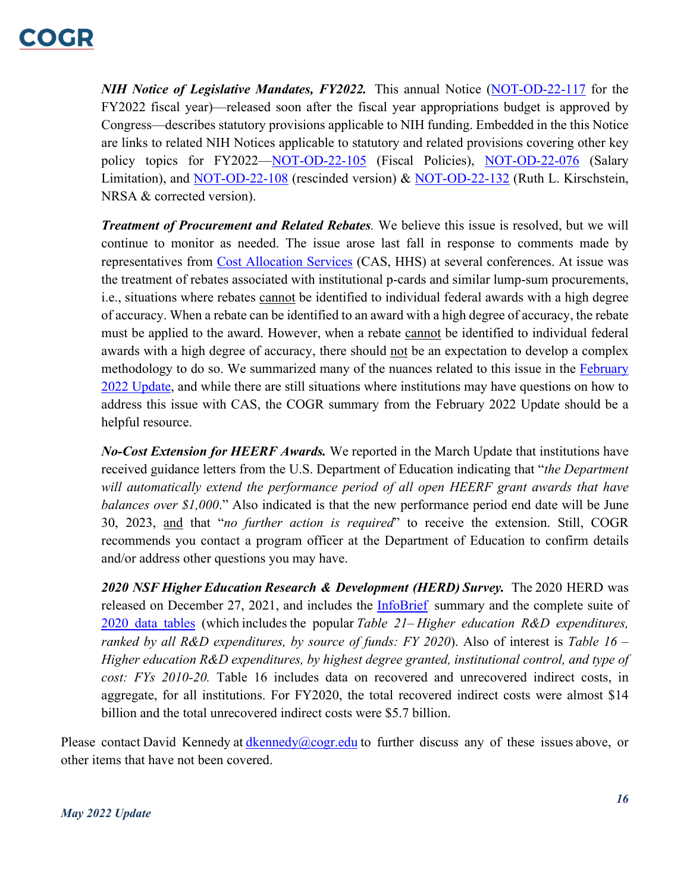## COMP.

*NIH Notice of Legislative Mandates, FY2022.*  This annual Notice ([NOT-OD-22-117](https://grants.nih.gov/grants/guide/notice-files/NOT-OD-22-117.html) for the FY2022 fiscal year)––released soon after the fiscal year appropriations budget is approved by Congress––describes statutory provisions applicable to NIH funding. Embedded in the this Notice are links to related NIH Notices applicable to statutory and related provisions covering other key policy topics for FY2022-NOT-OD-22-105 (Fiscal Policies), [NOT-OD-22-076](https://grants.nih.gov/grants/guide/notice-files/NOT-OD-22-076.html) (Salary Limitation), and [NOT-OD-22-108](https://grants.nih.gov/grants/guide/notice-files/NOT-OD-22-108.html) (rescinded version) & [NOT-OD-22-132](https://grants.nih.gov/grants/guide/notice-files/NOT-OD-22-132.html) (Ruth L. Kirschstein, NRSA & corrected version).

*Treatment of Procurement and Related Rebates.* We believe this issue is resolved, but we will continue to monitor as needed. The issue arose last fall in response to comments made by representatives from [Cost Allocation Services](https://rates.psc.gov/) (CAS, HHS) at several conferences. At issue was the treatment of rebates associated with institutional p-cards and similar lump-sum procurements, i.e., situations where rebates cannot be identified to individual federal awards with a high degree of accuracy. When a rebate can be identified to an award with a high degree of accuracy, the rebate must be applied to the award. However, when a rebate cannot be identified to individual federal awards with a high degree of accuracy, there should not be an expectation to develop a complex methodology to do so. We summarized many of the nuances related to this issue in the [February](https://www.cogr.edu/sites/default/files/February%202022%20Update%20-%20Final.pdf)  [2022 Update,](https://www.cogr.edu/sites/default/files/February%202022%20Update%20-%20Final.pdf) and while there are still situations where institutions may have questions on how to address this issue with CAS, the COGR summary from the February 2022 Update should be a helpful resource.

*No-Cost Extension for HEERF Awards.* We reported in the March Update that institutions have received guidance letters from the U.S. Department of Education indicating that "*the Department*  will automatically extend the performance period of all open HEERF grant awards that have *balances over \$1,000*." Also indicated is that the new performance period end date will be June 30, 2023, and that "*no further action is required*" to receive the extension. Still, COGR recommends you contact a program officer at the Department of Education to confirm details and/or address other questions you may have.

*2020 NSF Higher Education Research & Development (HERD) Survey.* The 2020 HERD was released on December 27, 2021, and includes the [InfoBrief](https://ncses.nsf.gov/pubs/nsf22312) summary and the complete suite of [2020 data tables](https://www.nsf.gov/statistics/srvyherd/#tabs-2) (which includes the popular *Table 21– Higher education R&D expenditures, ranked by all R&D expenditures, by source of funds: FY 2020*). Also of interest is *Table 16 – Higher education R&D expenditures, by highest degree granted, institutional control, and type of cost: FYs 2010-20.* Table 16 includes data on recovered and unrecovered indirect costs, in aggregate, for all institutions. For FY2020, the total recovered indirect costs were almost \$14 billion and the total unrecovered indirect costs were \$5.7 billion.

Please contact David Kennedy at [dkennedy@cogr.edu](mailto:dkennedy@cogr.edu) to further discuss any of these issues above, or other items that have not been covered.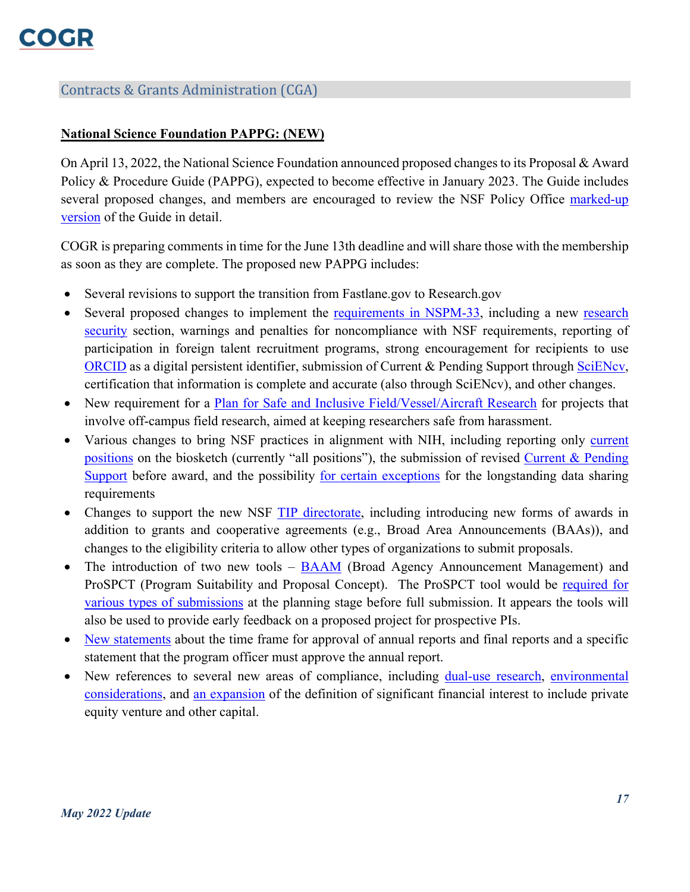## Contracts & Grants Administration (CGA)

#### <span id="page-16-0"></span>**National Science Foundation PAPPG: (NEW)**

On April 13, 2022, the National Science Foundation announced proposed changes to its Proposal & Award Policy & Procedure Guide (PAPPG), expected to become effective in January 2023. The Guide includes several proposed changes, and members are encouraged to review the NSF Policy Office marked-up [version](https://www.nsf.gov/bfa/dias/policy/papp/pappg23_1/FedReg/dreftpappg_april2022.pdf) of the Guide in detail.

COGR is preparing comments in time for the June 13th deadline and will share those with the membership as soon as they are complete. The proposed new PAPPG includes:

- Several revisions to support the transition from Fastlane.gov to Research.gov
- Several proposed changes to implement the [requirements in NSPM-33,](https://www.whitehouse.gov/wp-content/uploads/2022/01/010422-NSPM-33-Implementation-Guidance.pdf) including a new research [security](https://www.nsf.gov/bfa/dias/policy/papp/pappg23_1/FedReg/dreftpappg_april2022.pdf#page=135) section, warnings and penalties for noncompliance with NSF requirements, reporting of participation in foreign talent recruitment programs, strong encouragement for recipients to use [ORCID](https://orcid.org/) as a digital persistent identifier, submission of Current & Pending Support through [SciENcv,](https://www.research.gov/common/attachment/Desktop/SciENcv-FAQs.pdf) certification that information is complete and accurate (also through SciENcv), and other changes.
- New requirement for a [Plan for Safe and Inclusive Field/Vessel/Aircraft Research](https://www.nsf.gov/bfa/dias/policy/papp/pappg23_1/FedReg/dreftpappg_april2022.pdf#page=60) for projects that involve off-campus field research, aimed at keeping researchers safe from harassment.
- Various changes to bring NSF practices in alignment with NIH, including reporting only current [positions](https://www.nsf.gov/bfa/dias/policy/papp/pappg23_1/FedReg/dreftpappg_april2022.pdf#page=54) on the biosketch (currently "all positions"), the submission of revised [Current & Pending](https://www.nsf.gov/bfa/dias/policy/papp/pappg23_1/FedReg/dreftpappg_april2022.pdf#page=136)  [Support](https://www.nsf.gov/bfa/dias/policy/papp/pappg23_1/FedReg/dreftpappg_april2022.pdf#page=136) before award, and the possibility [for certain exceptions](https://www.nsf.gov/bfa/dias/policy/papp/pappg23_1/FedReg/dreftpappg_april2022.pdf#page=167) for the longstanding data sharing requirements
- Changes to support the new NSF [TIP directorate,](https://beta.nsf.gov/tip/latest) including introducing new forms of awards in addition to grants and cooperative agreements (e.g., Broad Area Announcements (BAAs)), and changes to the eligibility criteria to allow other types of organizations to submit proposals.
- The introduction of two new tools [BAAM](https://baam.nsf.gov/s/) (Broad Agency Announcement Management) and ProSPCT (Program Suitability and Proposal Concept). The ProSPCT tool would be [required for](https://www.nsf.gov/bfa/dias/policy/papp/pappg23_1/FedReg/dreftpappg_april2022.pdf#page=24)  [various types of submissions](https://www.nsf.gov/bfa/dias/policy/papp/pappg23_1/FedReg/dreftpappg_april2022.pdf#page=24) at the planning stage before full submission. It appears the tools will also be used to provide early feedback on a proposed project for prospective PIs.
- [New statements](https://www.nsf.gov/bfa/dias/policy/papp/pappg23_1/FedReg/dreftpappg_april2022.pdf#page=112) about the time frame for approval of annual reports and final reports and a specific statement that the program officer must approve the annual report.
- New references to several new areas of compliance, including [dual-use research,](https://www.nsf.gov/bfa/dias/policy/papp/pappg23_1/FedReg/dreftpappg_april2022.pdf#page=67) environmental [considerations,](https://www.nsf.gov/bfa/dias/policy/papp/pappg23_1/FedReg/dreftpappg_april2022.pdf#page=173) and [an expansion](https://www.nsf.gov/bfa/dias/policy/papp/pappg23_1/FedReg/dreftpappg_april2022.pdf#page=132) of the definition of significant financial interest to include private equity venture and other capital.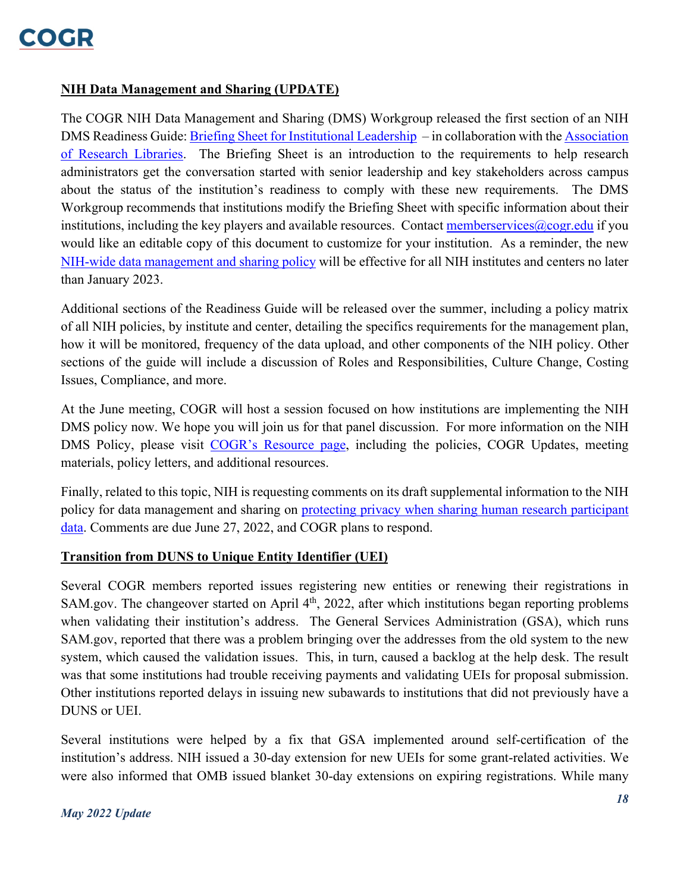

#### <span id="page-17-0"></span>**NIH Data Management and Sharing (UPDATE)**

The COGR NIH Data Management and Sharing (DMS) Workgroup released the first section of an NIH DMS Readiness Guide[: Briefing Sheet for Institutional Leadership](https://www.cogr.edu/cogrs-nih-data-management-and-sharing-readiness-guide) – in collaboration with the [Association](http://www.arl.org/)  [of Research Libraries.](http://www.arl.org/) The Briefing Sheet is an introduction to the requirements to help research administrators get the conversation started with senior leadership and key stakeholders across campus about the status of the institution's readiness to comply with these new requirements. The DMS Workgroup recommends that institutions modify the Briefing Sheet with specific information about their institutions, including the key players and available resources. Contact memberservices  $\omega$ cogr.edu if you would like an editable copy of this document to customize for your institution. As a reminder, the new [NIH-wide data management and sharing policy](https://grants.nih.gov/grants/guide/notice-files/NOT-OD-21-013.html) will be effective for all NIH institutes and centers no later than January 2023.

Additional sections of the Readiness Guide will be released over the summer, including a policy matrix of all NIH policies, by institute and center, detailing the specifics requirements for the management plan, how it will be monitored, frequency of the data upload, and other components of the NIH policy. Other sections of the guide will include a discussion of Roles and Responsibilities, Culture Change, Costing Issues, Compliance, and more.

At the June meeting, COGR will host a session focused on how institutions are implementing the NIH DMS policy now. We hope you will join us for that panel discussion. For more information on the NIH DMS Policy, please visit [COGR's Resource page,](https://www.cogr.edu/nih-data-management-and-sharing) including the policies, COGR Updates, meeting materials, policy letters, and additional resources.

Finally, related to this topic, NIH is requesting comments on its draft supplemental information to the NIH policy for data management and sharing on [protecting privacy when sharing human research participant](https://grants.nih.gov/grants/guide/notice-files/NOT-OD-22-131.html)  [data.](https://grants.nih.gov/grants/guide/notice-files/NOT-OD-22-131.html) Comments are due June 27, 2022, and COGR plans to respond.

#### <span id="page-17-1"></span>**Transition from DUNS to Unique Entity Identifier (UEI)**

Several COGR members reported issues registering new entities or renewing their registrations in SAM.gov. The changeover started on April 4<sup>th</sup>, 2022, after which institutions began reporting problems when validating their institution's address. The General Services Administration (GSA), which runs SAM.gov, reported that there was a problem bringing over the addresses from the old system to the new system, which caused the validation issues. This, in turn, caused a backlog at the help desk. The result was that some institutions had trouble receiving payments and validating UEIs for proposal submission. Other institutions reported delays in issuing new subawards to institutions that did not previously have a DUNS or UEI.

Several institutions were helped by a fix that GSA implemented around self-certification of the institution's address. NIH issued a 30-day extension for new UEIs for some grant-related activities. We were also informed that OMB issued blanket 30-day extensions on expiring registrations. While many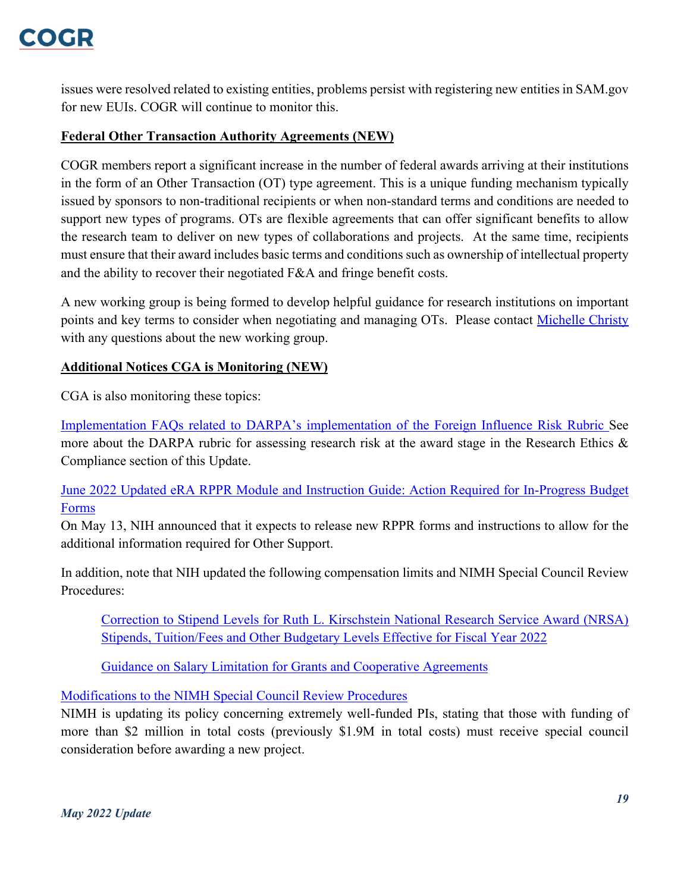issues were resolved related to existing entities, problems persist with registering new entities in SAM.gov for new EUIs. COGR will continue to monitor this.

## <span id="page-18-0"></span>**Federal Other Transaction Authority Agreements (NEW)**

COGR members report a significant increase in the number of federal awards arriving at their institutions in the form of an Other Transaction (OT) type agreement. This is a unique funding mechanism typically issued by sponsors to non-traditional recipients or when non-standard terms and conditions are needed to support new types of programs. OTs are flexible agreements that can offer significant benefits to allow the research team to deliver on new types of collaborations and projects. At the same time, recipients must ensure that their award includes basic terms and conditions such as ownership of intellectual property and the ability to recover their negotiated F&A and fringe benefit costs.

A new working group is being formed to develop helpful guidance for research institutions on important points and key terms to consider when negotiating and managing OTs. Please contact [Michelle Christy](mailto:mchristy@cogr.edu?subject=Other%20Transactions) with any questions about the new working group.

## <span id="page-18-1"></span>**Additional Notices CGA is Monitoring (NEW)**

CGA is also monitoring these topics:

[Implementation FAQs related to DARPA's implementation of the Foreign Influence Risk Rubric](https://www.darpa.mil/work-with-us/for-universities) See more about the DARPA rubric for assessing research risk at the award stage in the Research Ethics & Compliance section of this Update.

## [June 2022 Updated eRA RPPR Module and Instruction Guide: Action Required for In-Progress Budget](https://grants.nih.gov/grants/guide/notice-files/NOT-OD-22-130.html)  [Forms](https://grants.nih.gov/grants/guide/notice-files/NOT-OD-22-130.html)

On May 13, NIH announced that it expects to release new RPPR forms and instructions to allow for the additional information required for Other Support.

In addition, note that NIH updated the following compensation limits and NIMH Special Council Review Procedures:

[Correction to Stipend Levels for Ruth L. Kirschstein National Research Service Award \(NRSA\)](https://grants.nih.gov/grants/guide/notice-files/NOT-OD-22-132.html)  [Stipends, Tuition/Fees and Other Budgetary Levels Effective for Fiscal Year 2022](https://grants.nih.gov/grants/guide/notice-files/NOT-OD-22-132.html)

[Guidance on Salary Limitation for Grants and Cooperative Agreements](https://grants.nih.gov/grants/guide/notice-files/NOT-OD-22-076.html)

## Modifications to the NIMH Special Council Review Procedures

NIMH is updating its policy concerning extremely well-funded PIs, stating that those with funding of more than \$2 million in total costs (previously \$1.9M in total costs) must receive special council consideration before awarding a new project.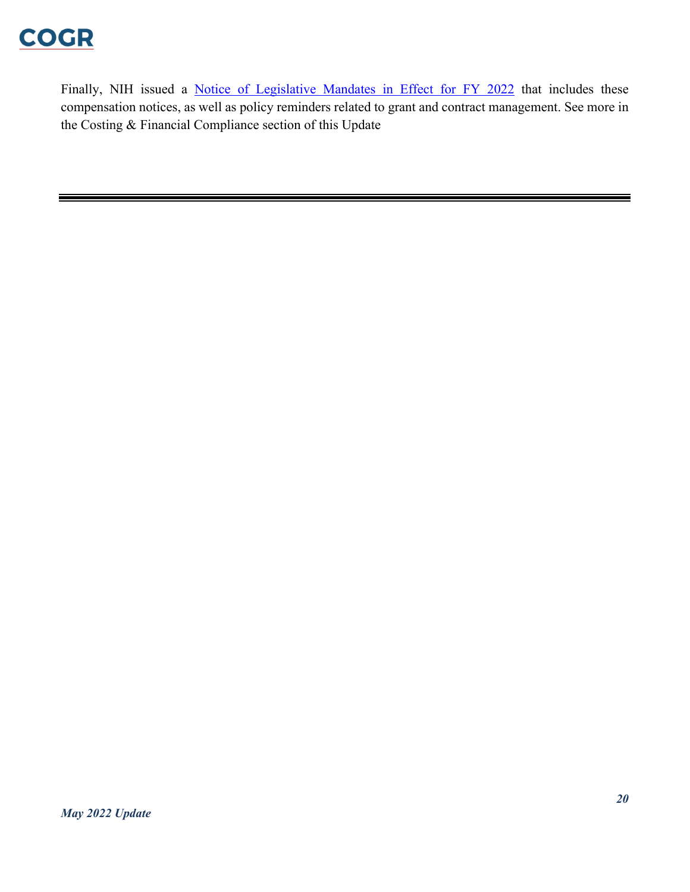

Finally, NIH issued a **[Notice of Legislative Mandates in Effect for FY 2022](https://grants.nih.gov/grants/guide/notice-files/NOT-OD-22-117.html)** that includes these compensation notices, as well as policy reminders related to grant and contract management. See more in the Costing & Financial Compliance section of this Update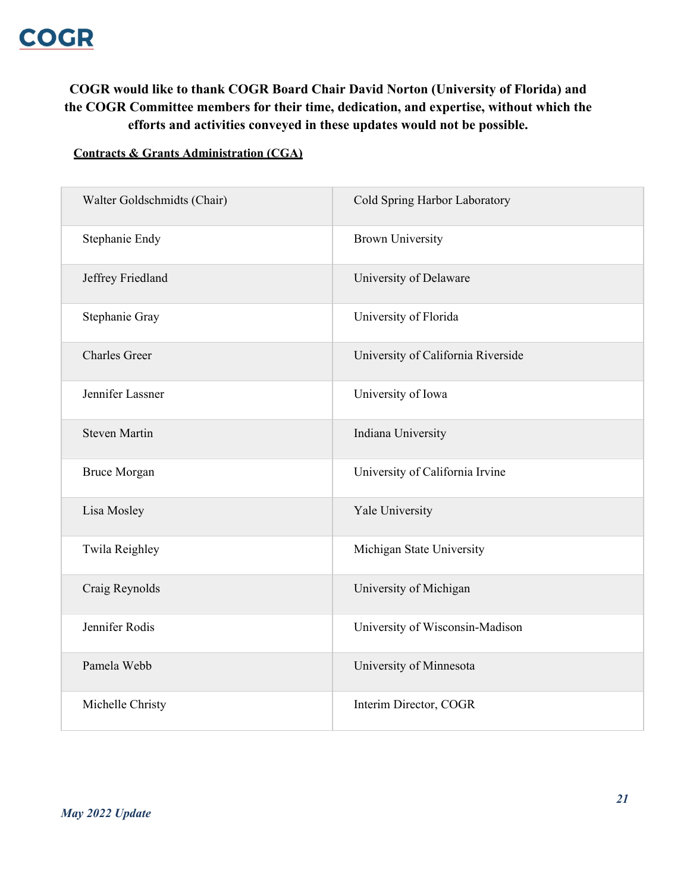## **COGR would like to thank COGR Board Chair David Norton (University of Florida) and the COGR Committee members for their time, dedication, and expertise, without which the efforts and activities conveyed in these updates would not be possible.**

#### **Contracts & Grants Administration (CGA)**

| Walter Goldschmidts (Chair) | Cold Spring Harbor Laboratory      |
|-----------------------------|------------------------------------|
| Stephanie Endy              | <b>Brown University</b>            |
| Jeffrey Friedland           | University of Delaware             |
| Stephanie Gray              | University of Florida              |
| <b>Charles Greer</b>        | University of California Riverside |
| Jennifer Lassner            | University of Iowa                 |
| <b>Steven Martin</b>        | Indiana University                 |
| <b>Bruce Morgan</b>         | University of California Irvine    |
| Lisa Mosley                 | Yale University                    |
| Twila Reighley              | Michigan State University          |
| Craig Reynolds              | University of Michigan             |
| Jennifer Rodis              | University of Wisconsin-Madison    |
| Pamela Webb                 | University of Minnesota            |
| Michelle Christy            | Interim Director, COGR             |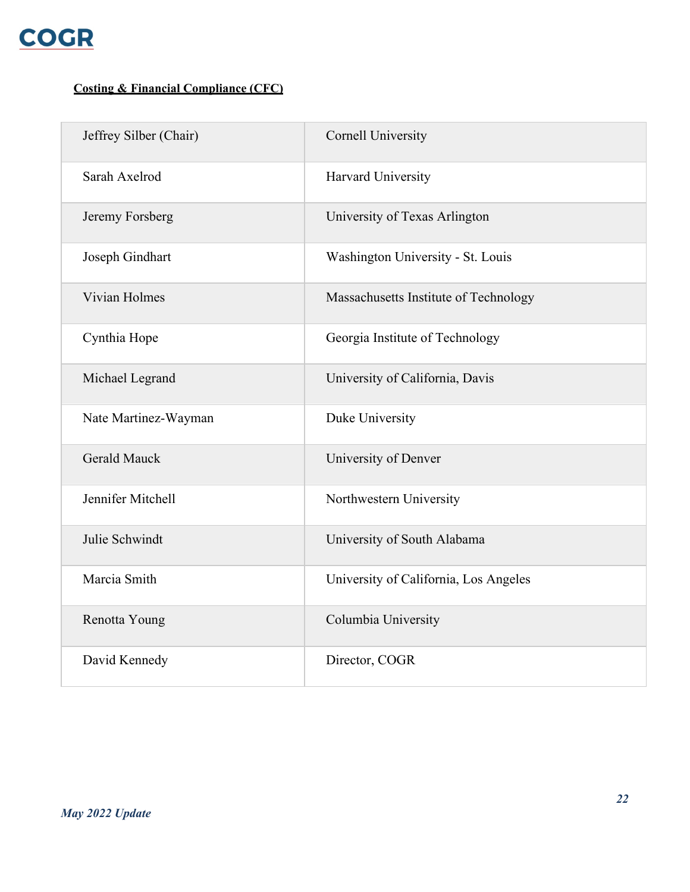

## **Costing & Financial Compliance (CFC)**

| Jeffrey Silber (Chair) | <b>Cornell University</b>             |
|------------------------|---------------------------------------|
| Sarah Axelrod          | Harvard University                    |
| Jeremy Forsberg        | University of Texas Arlington         |
| Joseph Gindhart        | Washington University - St. Louis     |
| Vivian Holmes          | Massachusetts Institute of Technology |
| Cynthia Hope           | Georgia Institute of Technology       |
| Michael Legrand        | University of California, Davis       |
| Nate Martinez-Wayman   | Duke University                       |
| <b>Gerald Mauck</b>    | University of Denver                  |
| Jennifer Mitchell      | Northwestern University               |
| Julie Schwindt         | University of South Alabama           |
| Marcia Smith           | University of California, Los Angeles |
| Renotta Young          | Columbia University                   |
| David Kennedy          | Director, COGR                        |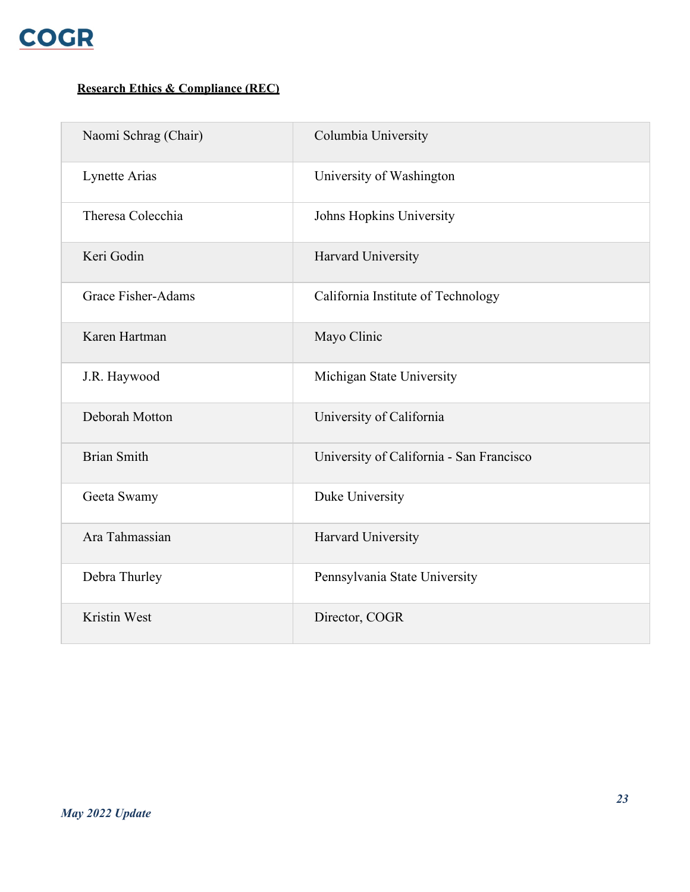

## **Research Ethics & Compliance (REC)**

| Naomi Schrag (Chair)      | Columbia University                      |
|---------------------------|------------------------------------------|
| Lynette Arias             | University of Washington                 |
| Theresa Colecchia         | Johns Hopkins University                 |
| Keri Godin                | Harvard University                       |
| <b>Grace Fisher-Adams</b> | California Institute of Technology       |
| Karen Hartman             | Mayo Clinic                              |
| J.R. Haywood              | Michigan State University                |
| Deborah Motton            | University of California                 |
| <b>Brian Smith</b>        | University of California - San Francisco |
| Geeta Swamy               | Duke University                          |
| Ara Tahmassian            | Harvard University                       |
| Debra Thurley             | Pennsylvania State University            |
| Kristin West              | Director, COGR                           |